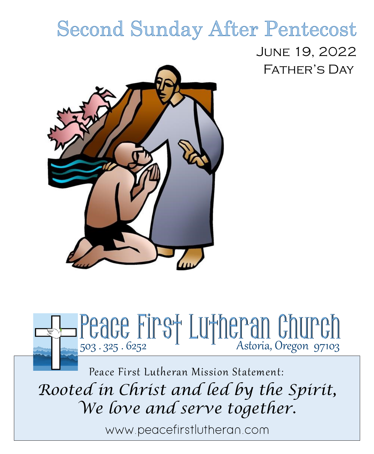# **Second Sunday After Pentecost** June 19, 2022 Father's Day





www.peacefirstlutheran.com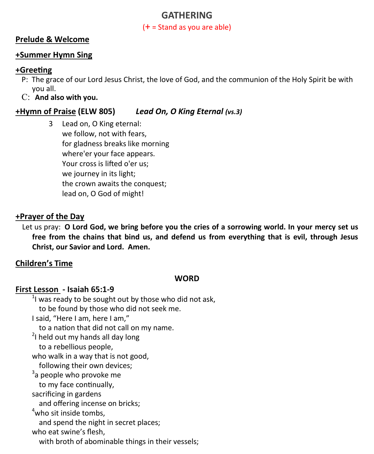## **GATHERING**

(+ = Stand as you are able)

#### **Prelude & Welcome**

#### **+Summer Hymn Sing**

#### **+Greeting**

- P: The grace of our Lord Jesus Christ, the love of God, and the communion of the Holy Spirit be with you all.
- C: **And also with you.**

#### **+Hymn of Praise (ELW 805)** *Lead On, O King Eternal (vs.3)*

3 Lead on, O King eternal: we follow, not with fears, for gladness breaks like morning where'er your face appears. Your cross is lifted o'er us; we journey in its light; the crown awaits the conquest; lead on, O God of might!

#### **+Prayer of the Day**

Let us pray: **O Lord God, we bring before you the cries of a sorrowing world. In your mercy set us free from the chains that bind us, and defend us from everything that is evil, through Jesus Christ, our Savior and Lord. Amen.**

#### **Children's Time**

#### **WORD**

#### **First Lesson - Isaiah 65:1-9**

 $1$  was ready to be sought out by those who did not ask, to be found by those who did not seek me.

I said, "Here I am, here I am,"

to a nation that did not call on my name.

 $2$ I held out my hands all day long

to a rebellious people,

who walk in a way that is not good,

following their own devices;

<sup>3</sup>a people who provoke me

to my face continually,

sacrificing in gardens

and offering incense on bricks;

 $4$ who sit inside tombs.

and spend the night in secret places;

who eat swine's flesh,

with broth of abominable things in their vessels;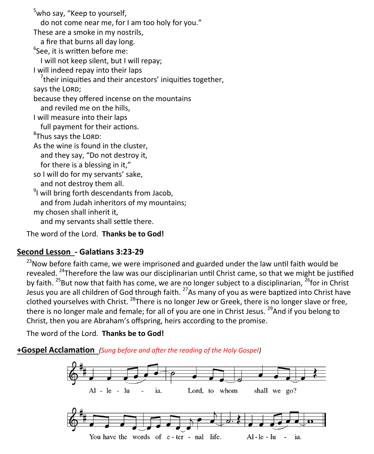<sup>5</sup>who say, "Keep to yourself, do not come near me, for I am too holy for you." These are a smoke in my nostrils, a fire that burns all day long. 6 See, it is written before me: I will not keep silent, but I will repay; I will indeed repay into their laps  $\frac{7}{7}$ their iniquities and their ancestors' iniquities together, says the LORD; because they offered incense on the mountains and reviled me on the hills, I will measure into their laps full payment for their actions. <sup>8</sup>Thus says the LORD: As the wine is found in the cluster, and they say, "Do not destroy it, for there is a blessing in it," so I will do for my servants' sake, and not destroy them all. <sup>9</sup>I will bring forth descendants from Jacob, and from Judah inheritors of my mountains; my chosen shall inherit it, and my servants shall settle there. The word of the Lord. **Thanks be to God!**

#### **Second Lesson - Galatians 3:23-29**

 $23$ Now before faith came, we were imprisoned and guarded under the law until faith would be revealed. <sup>24</sup>Therefore the law was our disciplinarian until Christ came, so that we might be justified by faith. <sup>25</sup>But now that faith has come, we are no longer subject to a disciplinarian, <sup>26</sup>for in Christ Jesus you are all children of God through faith. <sup>27</sup>As many of you as were baptized into Christ have clothed yourselves with Christ. <sup>28</sup>There is no longer Jew or Greek, there is no longer slave or free, there is no longer male and female; for all of you are one in Christ Jesus.  $^{29}$ And if you belong to Christ, then you are Abraham's offspring, heirs according to the promise.

The word of the Lord. **Thanks be to God!**

#### **+Gospel Acclamation** *(Sung before and after the reading of the Holy Gospel)*

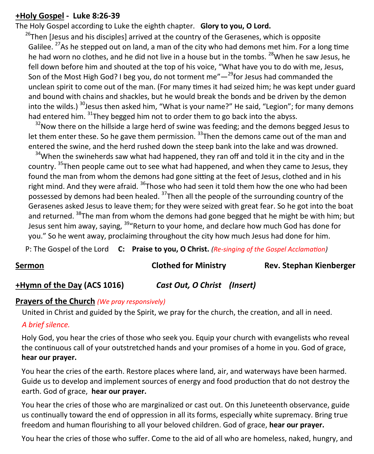#### **+Holy Gospel - Luke 8:26-39**

The Holy Gospel according to Luke the eighth chapter. **Glory to you, O Lord.**

 $26$ Then [Jesus and his disciples] arrived at the country of the Gerasenes, which is opposite Galilee. <sup>27</sup>As he stepped out on land, a man of the city who had demons met him. For a long time he had worn no clothes, and he did not live in a house but in the tombs. <sup>28</sup>When he saw Jesus, he fell down before him and shouted at the top of his voice, "What have you to do with me, Jesus, Son of the Most High God? I beg you, do not torment me"—<sup>29</sup>for Jesus had commanded the unclean spirit to come out of the man. (For many times it had seized him; he was kept under guard and bound with chains and shackles, but he would break the bonds and be driven by the demon into the wilds.) <sup>30</sup>Jesus then asked him, "What is your name?" He said, "Legion"; for many demons had entered him.  $31$ They begged him not to order them to go back into the abyss.

 $32$ Now there on the hillside a large herd of swine was feeding; and the demons begged Jesus to let them enter these. So he gave them permission.  $33$ Then the demons came out of the man and entered the swine, and the herd rushed down the steep bank into the lake and was drowned.

 $34$ When the swineherds saw what had happened, they ran off and told it in the city and in the country. <sup>35</sup>Then people came out to see what had happened, and when they came to Jesus, they found the man from whom the demons had gone sitting at the feet of Jesus, clothed and in his right mind. And they were afraid. <sup>36</sup>Those who had seen it told them how the one who had been possessed by demons had been healed. <sup>37</sup>Then all the people of the surrounding country of the Gerasenes asked Jesus to leave them; for they were seized with great fear. So he got into the boat and returned. <sup>38</sup>The man from whom the demons had gone begged that he might be with him; but Jesus sent him away, saying, <sup>39</sup> Return to your home, and declare how much God has done for you." So he went away, proclaiming throughout the city how much Jesus had done for him.

P: The Gospel of the Lord **C: Praise to you, O Christ.** *(Re-singing of the Gospel Acclamation)*

**Sermon Clothed for Ministry Rev. Stephan Kienberger**

#### **+Hymn of the Day (ACS 1016)** *Cast Out, O Christ (Insert)*

#### **Prayers of the Church** *(We pray responsively)*

United in Christ and guided by the Spirit, we pray for the church, the creation, and all in need.

#### *A brief silence.*

Holy God, you hear the cries of those who seek you. Equip your church with evangelists who reveal the continuous call of your outstretched hands and your promises of a home in you. God of grace, **hear our prayer.**

You hear the cries of the earth. Restore places where land, air, and waterways have been harmed. Guide us to develop and implement sources of energy and food production that do not destroy the earth. God of grace, **hear our prayer.**

You hear the cries of those who are marginalized or cast out. On this Juneteenth observance, guide us continually toward the end of oppression in all its forms, especially white supremacy. Bring true freedom and human flourishing to all your beloved children. God of grace, **hear our prayer.**

You hear the cries of those who suffer. Come to the aid of all who are homeless, naked, hungry, and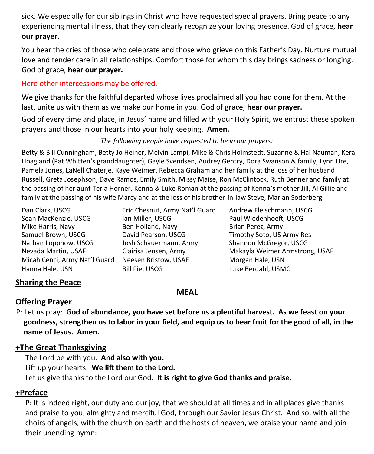sick. We especially for our siblings in Christ who have requested special prayers. Bring peace to any experiencing mental illness, that they can clearly recognize your loving presence. God of grace, **hear our prayer.**

You hear the cries of those who celebrate and those who grieve on this Father's Day. Nurture mutual love and tender care in all relationships. Comfort those for whom this day brings sadness or longing. God of grace, **hear our prayer.**

#### Here other intercessions may be offered.

We give thanks for the faithful departed whose lives proclaimed all you had done for them. At the last, unite us with them as we make our home in you. God of grace, **hear our prayer.**

God of every time and place, in Jesus' name and filled with your Holy Spirit, we entrust these spoken prayers and those in our hearts into your holy keeping. **Amen.**

#### *The following people have requested to be in our prayers:*

Betty & Bill Cunningham, Betty Jo Heiner, Melvin Lampi, Mike & Chris Holmstedt, Suzanne & Hal Nauman, Kera Hoagland (Pat Whitten's granddaughter), Gayle Svendsen, Audrey Gentry, Dora Swanson & family, Lynn Ure, Pamela Jones, LaNell Chaterje, Kaye Weimer, Rebecca Graham and her family at the loss of her husband Russell, Greta Josephson, Dave Ramos, Emily Smith, Missy Maise, Ron McClintock, Ruth Benner and family at the passing of her aunt Teria Horner, Kenna & Luke Roman at the passing of Kenna's mother Jill, Al Gillie and family at the passing of his wife Marcy and at the loss of his brother-in-law Steve, Marian Soderberg.

| Dan Clark, USCG               | Eric Chesnut, Army Nat'l Guard |
|-------------------------------|--------------------------------|
| Sean MacKenzie, USCG          | Ian Miller, USCG               |
| Mike Harris, Navy             | Ben Holland, Navy              |
| Samuel Brown, USCG            | David Pearson, USCG            |
| Nathan Loppnow, USCG          | Josh Schauermann, Army         |
| Nevada Martin, USAF           | Clairisa Jensen, Army          |
| Micah Cenci, Army Nat'l Guard | Neesen Bristow, USAF           |
| Hanna Hale LISN               | <b>Rill Pie LISCG</b>          |

Andrew Fleischmann, USCG Paul Wiedenhoeft, USCG Brian Perez, Army Timothy Soto, US Army Res Shannon McGregor, USCG Makayla Weimer Armstrong, USAF Morgan Hale, USN Luke Berdahl, USMC

### **Sharing the Peace**

#### **MEAL**

#### **Offering Prayer**

P: Let us pray: **God of abundance, you have set before us a plentiful harvest. As we feast on your goodness, strengthen us to labor in your field, and equip us to bear fruit for the good of all, in the name of Jesus. Amen.**

#### **+The Great Thanksgiving**

The Lord be with you. **And also with you.** Lift up your hearts. **We lift them to the Lord.** Let us give thanks to the Lord our God. **It is right to give God thanks and praise.**

#### **+Preface**

P: It is indeed right, our duty and our joy, that we should at all times and in all places give thanks and praise to you, almighty and merciful God, through our Savior Jesus Christ. And so, with all the choirs of angels, with the church on earth and the hosts of heaven, we praise your name and join their unending hymn: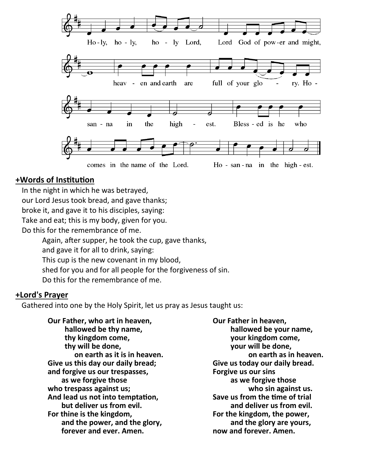

#### **+Words of Institution**

In the night in which he was betrayed,

our Lord Jesus took bread, and gave thanks;

broke it, and gave it to his disciples, saying:

Take and eat; this is my body, given for you.

Do this for the remembrance of me.

Again, after supper, he took the cup, gave thanks,

and gave it for all to drink, saying:

This cup is the new covenant in my blood,

shed for you and for all people for the forgiveness of sin.

Do this for the remembrance of me.

#### **+Lord's Prayer**

Gathered into one by the Holy Spirit, let us pray as Jesus taught us:

**Our Father, who art in heaven, hallowed be thy name, thy kingdom come, thy will be done, on earth as it is in heaven. Give us this day our daily bread; and forgive us our trespasses, as we forgive those who trespass against us; And lead us not into temptation, but deliver us from evil. For thine is the kingdom, and the power, and the glory, forever and ever. Amen.**

**Our Father in heaven, hallowed be your name, your kingdom come, your will be done, on earth as in heaven. Give us today our daily bread. Forgive us our sins as we forgive those who sin against us. Save us from the time of trial and deliver us from evil. For the kingdom, the power, and the glory are yours, now and forever. Amen.**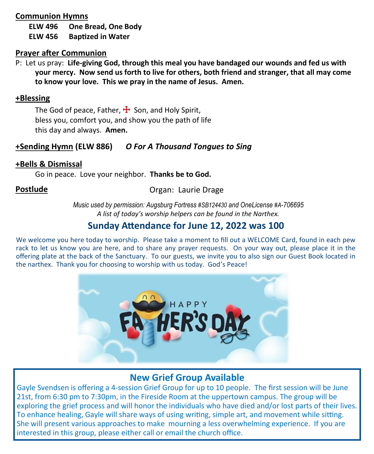#### **Communion Hymns**

**ELW 496 One Bread, One Body ELW 456 Baptized in Water**

#### **Prayer after Communion**

P: Let us pray: **Life-giving God, through this meal you have bandaged our wounds and fed us with your mercy. Now send us forth to live for others, both friend and stranger, that all may come to know your love. This we pray in the name of Jesus. Amen.**

#### **+Blessing**

The God of peace, Father,  $\mathbf{\dot{F}}$  Son, and Holy Spirit, bless you, comfort you, and show you the path of life this day and always. **Amen.**

### **+Sending Hymn (ELW 886)** *O For A Thousand Tongues to Sing*

#### **+Bells & Dismissal**

Go in peace. Love your neighbor. **Thanks be to God.**

### **Postlude**

Organ: Laurie Drage

*Music used by permission: Augsburg Fortress [#SB124430](https://www.youtube.com/hashtag/sb124430) and OneLicense [#A](https://www.youtube.com/hashtag/a)-706695 A list of today's worship helpers can be found in the Narthex.*

# **Sunday Attendance for June 12, 2022 was 100**

We welcome you here today to worship. Please take a moment to fill out a WELCOME Card, found in each pew rack to let us know you are here, and to share any prayer requests. On your way out, please place it in the offering plate at the back of the Sanctuary. To our guests, we invite you to also sign our Guest Book located in the narthex. Thank you for choosing to worship with us today. God's Peace!



# **New Grief Group Available**

Gayle Svendsen is offering a 4-session Grief Group for up to 10 people. The first session will be June 21st, from 6:30 pm to 7:30pm, in the Fireside Room at the uppertown campus. The group will be exploring the grief process and will honor the individuals who have died and/or lost parts of their lives. To enhance healing, Gayle will share ways of using writing, simple art, and movement while sitting. She will present various approaches to make mourning a less overwhelming experience. If you are interested in this group, please either call or email the church office.